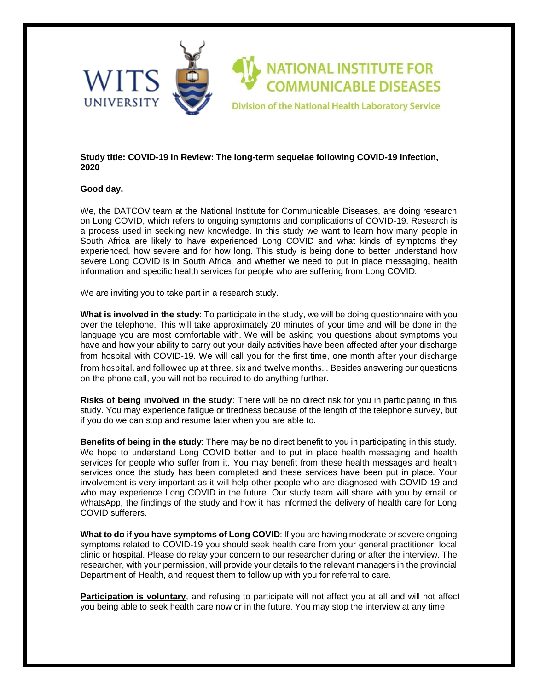

## **Study title: COVID-19 in Review: The long-term sequelae following COVID-19 infection, 2020**

## **Good day.**

We, the DATCOV team at the National Institute for Communicable Diseases, are doing research on Long COVID, which refers to ongoing symptoms and complications of COVID-19. Research is a process used in seeking new knowledge. In this study we want to learn how many people in South Africa are likely to have experienced Long COVID and what kinds of symptoms they experienced, how severe and for how long. This study is being done to better understand how severe Long COVID is in South Africa, and whether we need to put in place messaging, health information and specific health services for people who are suffering from Long COVID.

We are inviting you to take part in a research study.

**What is involved in the study**: To participate in the study, we will be doing questionnaire with you over the telephone. This will take approximately 20 minutes of your time and will be done in the language you are most comfortable with. We will be asking you questions about symptoms you have and how your ability to carry out your daily activities have been affected after your discharge from hospital with COVID-19. We will call you for the first time, one month after your discharge from hospital, and followed up at three, six and twelve months. . Besides answering our questions on the phone call, you will not be required to do anything further.

**Risks of being involved in the study**: There will be no direct risk for you in participating in this study. You may experience fatigue or tiredness because of the length of the telephone survey, but if you do we can stop and resume later when you are able to.

**Benefits of being in the study**: There may be no direct benefit to you in participating in this study. We hope to understand Long COVID better and to put in place health messaging and health services for people who suffer from it. You may benefit from these health messages and health services once the study has been completed and these services have been put in place. Your involvement is very important as it will help other people who are diagnosed with COVID-19 and who may experience Long COVID in the future. Our study team will share with you by email or WhatsApp, the findings of the study and how it has informed the delivery of health care for Long COVID sufferers.

**What to do if you have symptoms of Long COVID:** If you are having moderate or severe ongoing symptoms related to COVID-19 you should seek health care from your general practitioner, local clinic or hospital. Please do relay your concern to our researcher during or after the interview. The researcher, with your permission, will provide your details to the relevant managers in the provincial Department of Health, and request them to follow up with you for referral to care.

**Participation is voluntary**, and refusing to participate will not affect you at all and will not affect you being able to seek health care now or in the future. You may stop the interview at any time